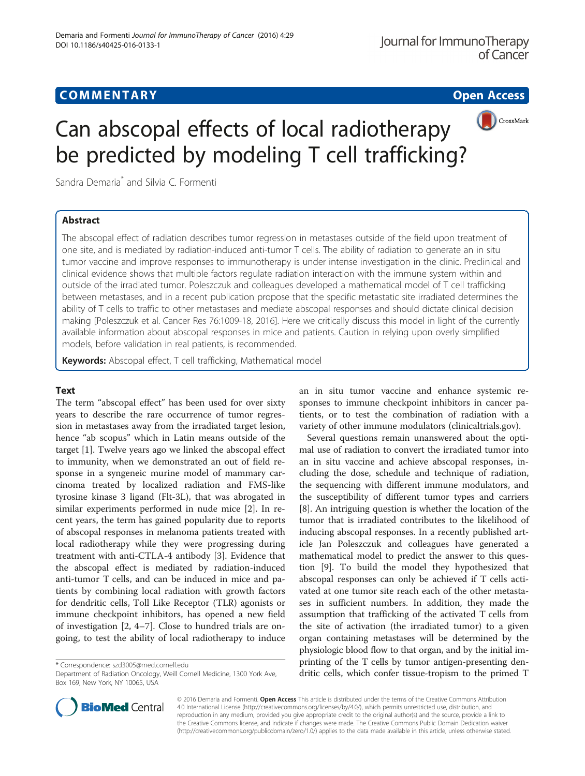# **COMMENTARY COMMENTARY Open Access**



# Can abscopal effects of local radiotherapy be predicted by modeling T cell trafficking?

Sandra Demaria\* and Silvia C. Formenti

# Abstract

The abscopal effect of radiation describes tumor regression in metastases outside of the field upon treatment of one site, and is mediated by radiation-induced anti-tumor T cells. The ability of radiation to generate an in situ tumor vaccine and improve responses to immunotherapy is under intense investigation in the clinic. Preclinical and clinical evidence shows that multiple factors regulate radiation interaction with the immune system within and outside of the irradiated tumor. Poleszczuk and colleagues developed a mathematical model of T cell trafficking between metastases, and in a recent publication propose that the specific metastatic site irradiated determines the ability of T cells to traffic to other metastases and mediate abscopal responses and should dictate clinical decision making [Poleszczuk et al. Cancer Res 76:1009-18, 2016]. Here we critically discuss this model in light of the currently available information about abscopal responses in mice and patients. Caution in relying upon overly simplified models, before validation in real patients, is recommended.

Keywords: Abscopal effect, T cell trafficking, Mathematical model

## **Text**

The term "abscopal effect" has been used for over sixty years to describe the rare occurrence of tumor regression in metastases away from the irradiated target lesion, hence "ab scopus" which in Latin means outside of the target [\[1](#page-2-0)]. Twelve years ago we linked the abscopal effect to immunity, when we demonstrated an out of field response in a syngeneic murine model of mammary carcinoma treated by localized radiation and FMS-like tyrosine kinase 3 ligand (Flt-3L), that was abrogated in similar experiments performed in nude mice [\[2\]](#page-2-0). In recent years, the term has gained popularity due to reports of abscopal responses in melanoma patients treated with local radiotherapy while they were progressing during treatment with anti-CTLA-4 antibody [\[3\]](#page-2-0). Evidence that the abscopal effect is mediated by radiation-induced anti-tumor T cells, and can be induced in mice and patients by combining local radiation with growth factors for dendritic cells, Toll Like Receptor (TLR) agonists or immune checkpoint inhibitors, has opened a new field of investigation [\[2](#page-2-0), [4](#page-2-0)–[7\]](#page-2-0). Close to hundred trials are ongoing, to test the ability of local radiotherapy to induce

\* Correspondence: [szd3005@med.cornell.edu](mailto:szd3005@med.cornell.edu)

an in situ tumor vaccine and enhance systemic responses to immune checkpoint inhibitors in cancer patients, or to test the combination of radiation with a variety of other immune modulators (clinicaltrials.gov).

Several questions remain unanswered about the optimal use of radiation to convert the irradiated tumor into an in situ vaccine and achieve abscopal responses, including the dose, schedule and technique of radiation, the sequencing with different immune modulators, and the susceptibility of different tumor types and carriers [[8\]](#page-2-0). An intriguing question is whether the location of the tumor that is irradiated contributes to the likelihood of inducing abscopal responses. In a recently published article Jan Poleszczuk and colleagues have generated a mathematical model to predict the answer to this question [[9\]](#page-2-0). To build the model they hypothesized that abscopal responses can only be achieved if T cells activated at one tumor site reach each of the other metastases in sufficient numbers. In addition, they made the assumption that trafficking of the activated T cells from the site of activation (the irradiated tumor) to a given organ containing metastases will be determined by the physiologic blood flow to that organ, and by the initial imprinting of the T cells by tumor antigen-presenting dendritic cells, which confer tissue-tropism to the primed T



© 2016 Demaria and Formenti. Open Access This article is distributed under the terms of the Creative Commons Attribution 4.0 International License ([http://creativecommons.org/licenses/by/4.0/\)](http://creativecommons.org/licenses/by/4.0/), which permits unrestricted use, distribution, and reproduction in any medium, provided you give appropriate credit to the original author(s) and the source, provide a link to the Creative Commons license, and indicate if changes were made. The Creative Commons Public Domain Dedication waiver [\(http://creativecommons.org/publicdomain/zero/1.0/](http://creativecommons.org/publicdomain/zero/1.0/)) applies to the data made available in this article, unless otherwise stated.

Department of Radiation Oncology, Weill Cornell Medicine, 1300 York Ave, Box 169, New York, NY 10065, USA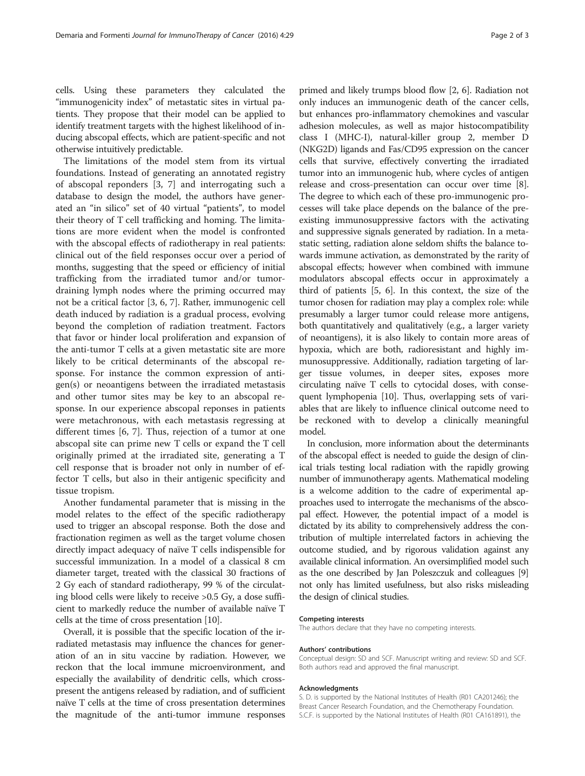cells. Using these parameters they calculated the "immunogenicity index" of metastatic sites in virtual patients. They propose that their model can be applied to identify treatment targets with the highest likelihood of inducing abscopal effects, which are patient-specific and not otherwise intuitively predictable.

The limitations of the model stem from its virtual foundations. Instead of generating an annotated registry of abscopal reponders [[3, 7\]](#page-2-0) and interrogating such a database to design the model, the authors have generated an "in silico" set of 40 virtual "patients", to model their theory of T cell trafficking and homing. The limitations are more evident when the model is confronted with the abscopal effects of radiotherapy in real patients: clinical out of the field responses occur over a period of months, suggesting that the speed or efficiency of initial trafficking from the irradiated tumor and/or tumordraining lymph nodes where the priming occurred may not be a critical factor [\[3](#page-2-0), [6, 7\]](#page-2-0). Rather, immunogenic cell death induced by radiation is a gradual process, evolving beyond the completion of radiation treatment. Factors that favor or hinder local proliferation and expansion of the anti-tumor T cells at a given metastatic site are more likely to be critical determinants of the abscopal response. For instance the common expression of antigen(s) or neoantigens between the irradiated metastasis and other tumor sites may be key to an abscopal response. In our experience abscopal reponses in patients were metachronous, with each metastasis regressing at different times [\[6, 7\]](#page-2-0). Thus, rejection of a tumor at one abscopal site can prime new T cells or expand the T cell originally primed at the irradiated site, generating a T cell response that is broader not only in number of effector T cells, but also in their antigenic specificity and tissue tropism.

Another fundamental parameter that is missing in the model relates to the effect of the specific radiotherapy used to trigger an abscopal response. Both the dose and fractionation regimen as well as the target volume chosen directly impact adequacy of naïve T cells indispensible for successful immunization. In a model of a classical 8 cm diameter target, treated with the classical 30 fractions of 2 Gy each of standard radiotherapy, 99 % of the circulating blood cells were likely to receive >0.5 Gy, a dose sufficient to markedly reduce the number of available naïve T cells at the time of cross presentation [\[10\]](#page-2-0).

Overall, it is possible that the specific location of the irradiated metastasis may influence the chances for generation of an in situ vaccine by radiation. However, we reckon that the local immune microenvironment, and especially the availability of dendritic cells, which crosspresent the antigens released by radiation, and of sufficient naïve T cells at the time of cross presentation determines the magnitude of the anti-tumor immune responses

primed and likely trumps blood flow [\[2](#page-2-0), [6](#page-2-0)]. Radiation not only induces an immunogenic death of the cancer cells, but enhances pro-inflammatory chemokines and vascular adhesion molecules, as well as major histocompatibility class I (MHC-I), natural-killer group 2, member D (NKG2D) ligands and Fas/CD95 expression on the cancer cells that survive, effectively converting the irradiated tumor into an immunogenic hub, where cycles of antigen release and cross-presentation can occur over time [[8](#page-2-0)]. The degree to which each of these pro-immunogenic processes will take place depends on the balance of the preexisting immunosuppressive factors with the activating and suppressive signals generated by radiation. In a metastatic setting, radiation alone seldom shifts the balance towards immune activation, as demonstrated by the rarity of abscopal effects; however when combined with immune modulators abscopal effects occur in approximately a third of patients [[5, 6](#page-2-0)]. In this context, the size of the tumor chosen for radiation may play a complex role: while presumably a larger tumor could release more antigens, both quantitatively and qualitatively (e.g., a larger variety of neoantigens), it is also likely to contain more areas of hypoxia, which are both, radioresistant and highly immunosuppressive. Additionally, radiation targeting of larger tissue volumes, in deeper sites, exposes more circulating naïve T cells to cytocidal doses, with consequent lymphopenia [\[10\]](#page-2-0). Thus, overlapping sets of variables that are likely to influence clinical outcome need to be reckoned with to develop a clinically meaningful model.

In conclusion, more information about the determinants of the abscopal effect is needed to guide the design of clinical trials testing local radiation with the rapidly growing number of immunotherapy agents. Mathematical modeling is a welcome addition to the cadre of experimental approaches used to interrogate the mechanisms of the abscopal effect. However, the potential impact of a model is dictated by its ability to comprehensively address the contribution of multiple interrelated factors in achieving the outcome studied, and by rigorous validation against any available clinical information. An oversimplified model such as the one described by Jan Poleszczuk and colleagues [[9](#page-2-0)] not only has limited usefulness, but also risks misleading the design of clinical studies.

#### Competing interests

The authors declare that they have no competing interests.

#### Authors' contributions

Conceptual design: SD and SCF. Manuscript writing and review: SD and SCF. Both authors read and approved the final manuscript.

#### Acknowledgments

S. D. is supported by the National Institutes of Health (R01 CA201246); the Breast Cancer Research Foundation, and the Chemotherapy Foundation. S.C.F. is supported by the National Institutes of Health (R01 CA161891), the